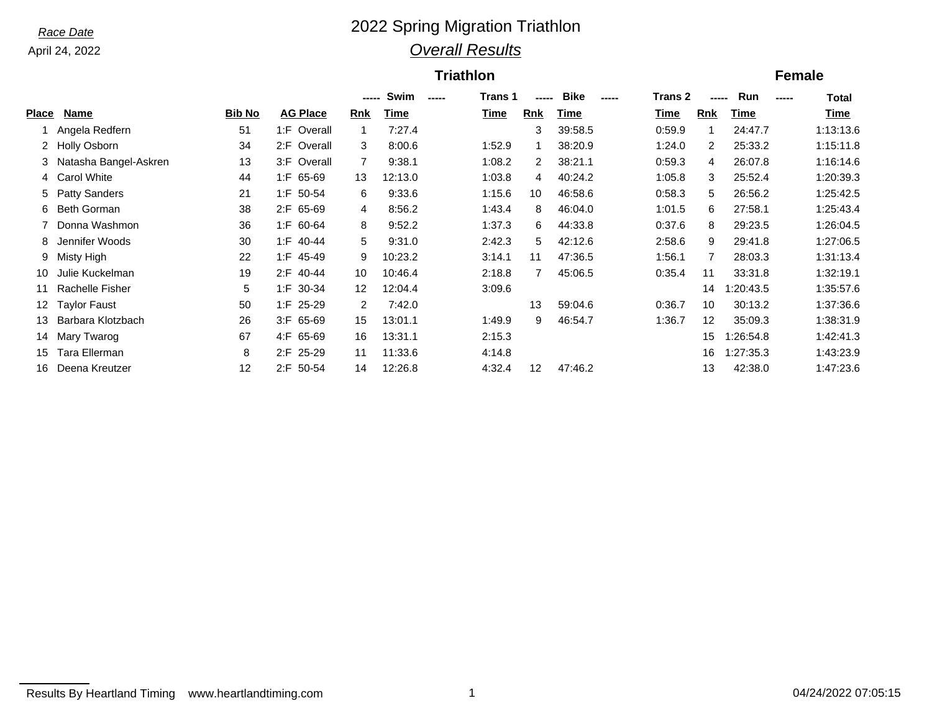## *Race Date* 2022 Spring Migration Triathlon *Overall Results*

### **Triathlon Female**

|       |                         |               |                   | -----          | Swim<br>$\frac{1}{2}$ | Trans 1 | -----          | Bike<br>$\frac{1}{2}$ | <b>Trans 2</b> | -----             | Run<br>------ | Total     |
|-------|-------------------------|---------------|-------------------|----------------|-----------------------|---------|----------------|-----------------------|----------------|-------------------|---------------|-----------|
| Place | Name                    | <b>Bib No</b> | <b>AG Place</b>   | <b>Rnk</b>     | Time                  | Time    | <b>Rnk</b>     | Time                  | Time           | <b>Rnk</b>        | Time          | Time      |
|       | Angela Redfern          | 51            | 1:F Overall       |                | 7:27.4                |         | 3              | 39:58.5               | 0:59.9         |                   | 24:47.7       | 1:13:13.6 |
|       | 2 Holly Osborn          | 34            | 2:F Overall       | 3              | 8:00.6                | 1:52.9  |                | 38:20.9               | 1:24.0         | $\overline{2}$    | 25:33.2       | 1:15:11.8 |
|       | 3 Natasha Bangel-Askren | 13            | $3:$ F<br>Overall | $\overline{7}$ | 9:38.1                | 1:08.2  | $\mathbf{2}$   | 38:21.1               | 0:59.3         | 4                 | 26:07.8       | 1:16:14.6 |
|       | 4 Carol White           | 44            | $1:$ F 65-69      | 13             | 12:13.0               | 1:03.8  | 4              | 40:24.2               | 1:05.8         | 3                 | 25:52.4       | 1:20:39.3 |
|       | 5 Patty Sanders         | 21            | $1:$ F 50-54      | 6              | 9:33.6                | 1:15.6  | 10             | 46:58.6               | 0:58.3         | 5                 | 26:56.2       | 1:25:42.5 |
|       | 6 Beth Gorman           | 38            | 2:F 65-69         | 4              | 8:56.2                | 1:43.4  | 8              | 46:04.0               | 1:01.5         | 6                 | 27:58.1       | 1:25:43.4 |
|       | Donna Washmon           | 36            | 1:F 60-64         | 8              | 9:52.2                | 1:37.3  | 6              | 44:33.8               | 0:37.6         | 8                 | 29:23.5       | 1:26:04.5 |
| 8     | Jennifer Woods          | 30            | 1:F 40-44         | 5              | 9:31.0                | 2:42.3  | 5.             | 42:12.6               | 2:58.6         | 9                 | 29:41.8       | 1:27:06.5 |
|       | 9 Misty High            | 22            | 1:F 45-49         | 9              | 10:23.2               | 3:14.1  | 11             | 47:36.5               | 1:56.1         | 7                 | 28:03.3       | 1:31:13.4 |
| 10    | Julie Kuckelman         | 19            | 2:F 40-44         | 10             | 10:46.4               | 2:18.8  | $\overline{7}$ | 45:06.5               | 0:35.4         | 11                | 33:31.8       | 1:32:19.1 |
| 11    | Rachelle Fisher         | 5             | 1:F 30-34         | 12             | 12:04.4               | 3:09.6  |                |                       |                | 14                | 1:20:43.5     | 1:35:57.6 |
| 12.   | <b>Taylor Faust</b>     | 50            | 1:F 25-29         | 2              | 7:42.0                |         | 13             | 59:04.6               | 0:36.7         | 10                | 30:13.2       | 1:37:36.6 |
| 13    | Barbara Klotzbach       | 26            | $3:$ F 65-69      | 15             | 13:01.1               | 1:49.9  | 9              | 46:54.7               | 1:36.7         | $12 \overline{ }$ | 35:09.3       | 1:38:31.9 |
| 14    | Mary Twarog             | 67            | 4:F 65-69         | 16             | 13:31.1               | 2:15.3  |                |                       |                | 15                | 1:26:54.8     | 1:42:41.3 |
| 15    | Tara Ellerman           | 8             | 2:F 25-29         | 11             | 11:33.6               | 4:14.8  |                |                       |                | 16                | 1:27:35.3     | 1:43:23.9 |
| 16    | Deena Kreutzer          | 12            | 2:F 50-54         | 14             | 12:26.8               | 4:32.4  | 12             | 47:46.2               |                | 13                | 42:38.0       | 1:47:23.6 |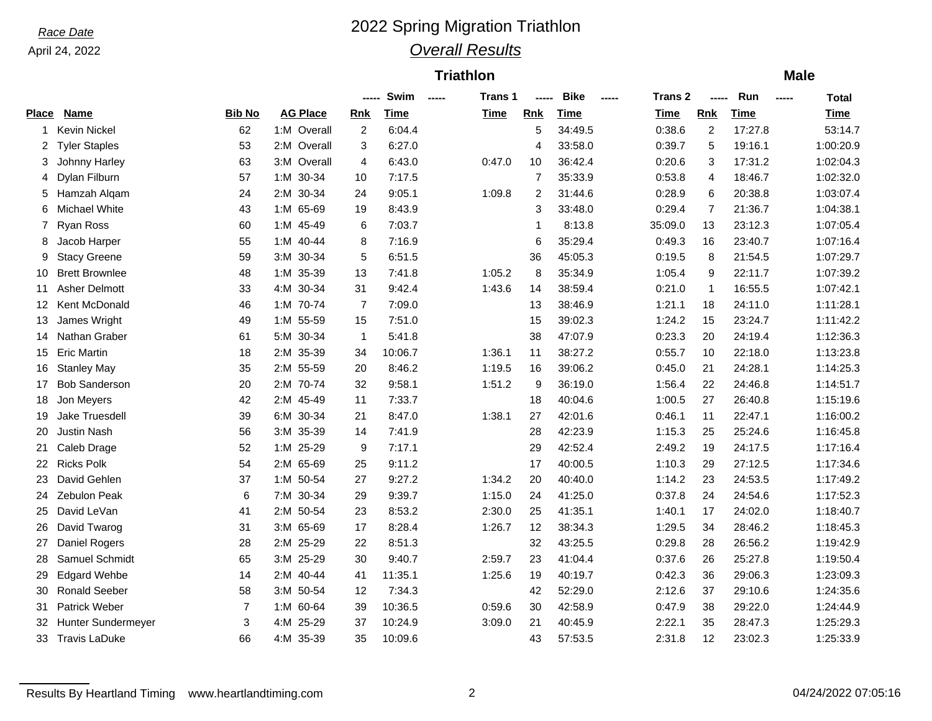### *Race Date* 2022 Spring Migration Triathlon *Overall Results*

### **Triathlon Male**

|       |                       |                |                 | -----          | Swim        | $- - - - -$ | Trans 1     | -----          | <b>Bike</b> | $\frac{1}{2}$ | Trans 2     | -----          | Run         | $\begin{array}{ccc} \texttt{} & \texttt{} \end{array}$ | Total       |
|-------|-----------------------|----------------|-----------------|----------------|-------------|-------------|-------------|----------------|-------------|---------------|-------------|----------------|-------------|--------------------------------------------------------|-------------|
| Place | <b>Name</b>           | <b>Bib No</b>  | <b>AG Place</b> | <b>Rnk</b>     | <b>Time</b> |             | <b>Time</b> | Rnk            | Time        |               | <b>Time</b> | <b>Rnk</b>     | <b>Time</b> |                                                        | <u>Time</u> |
| 1     | <b>Kevin Nickel</b>   | 62             | 1:M Overall     | $\overline{2}$ | 6:04.4      |             |             | 5              | 34:49.5     |               | 0:38.6      | $\overline{c}$ | 17:27.8     |                                                        | 53:14.7     |
| 2     | <b>Tyler Staples</b>  | 53             | 2:M Overall     | 3              | 6:27.0      |             |             | 4              | 33:58.0     |               | 0:39.7      | 5              | 19:16.1     |                                                        | 1:00:20.9   |
| 3     | Johnny Harley         | 63             | 3:M Overall     | 4              | 6:43.0      |             | 0:47.0      | 10             | 36:42.4     |               | 0:20.6      | 3              | 17:31.2     |                                                        | 1:02:04.3   |
| 4     | Dylan Filburn         | 57             | 1:M 30-34       | 10             | 7:17.5      |             |             | $\overline{7}$ | 35:33.9     |               | 0:53.8      | 4              | 18:46.7     |                                                        | 1:02:32.0   |
| 5     | Hamzah Algam          | 24             | 2:M 30-34       | 24             | 9:05.1      |             | 1:09.8      | 2              | 31:44.6     |               | 0:28.9      | 6              | 20:38.8     |                                                        | 1:03:07.4   |
| 6     | Michael White         | 43             | 1:M 65-69       | 19             | 8:43.9      |             |             | 3              | 33:48.0     |               | 0:29.4      | $\overline{7}$ | 21:36.7     |                                                        | 1:04:38.1   |
| 7     | Ryan Ross             | 60             | 1:M 45-49       | 6              | 7:03.7      |             |             | 1              | 8:13.8      |               | 35:09.0     | 13             | 23:12.3     |                                                        | 1:07:05.4   |
| 8     | Jacob Harper          | 55             | 1:M 40-44       | 8              | 7:16.9      |             |             | 6              | 35:29.4     |               | 0:49.3      | 16             | 23:40.7     |                                                        | 1:07:16.4   |
| 9     | <b>Stacy Greene</b>   | 59             | 3:M 30-34       | 5              | 6:51.5      |             |             | 36             | 45:05.3     |               | 0:19.5      | 8              | 21:54.5     |                                                        | 1:07:29.7   |
| 10    | <b>Brett Brownlee</b> | 48             | 1:M 35-39       | 13             | 7:41.8      |             | 1:05.2      | 8              | 35:34.9     |               | 1:05.4      | 9              | 22:11.7     |                                                        | 1:07:39.2   |
| 11    | <b>Asher Delmott</b>  | 33             | 4:M 30-34       | 31             | 9:42.4      |             | 1:43.6      | 14             | 38:59.4     |               | 0:21.0      | 1              | 16:55.5     |                                                        | 1:07:42.1   |
| 12    | Kent McDonald         | 46             | 1:M 70-74       | $\overline{7}$ | 7:09.0      |             |             | 13             | 38:46.9     |               | 1:21.1      | 18             | 24:11.0     |                                                        | 1:11:28.1   |
| 13    | James Wright          | 49             | 1:M 55-59       | 15             | 7:51.0      |             |             | 15             | 39:02.3     |               | 1:24.2      | 15             | 23:24.7     |                                                        | 1:11:42.2   |
| 14    | Nathan Graber         | 61             | 5:M 30-34       | $\mathbf{1}$   | 5:41.8      |             |             | 38             | 47:07.9     |               | 0:23.3      | 20             | 24:19.4     |                                                        | 1:12:36.3   |
| 15    | <b>Eric Martin</b>    | 18             | 2:M 35-39       | 34             | 10:06.7     |             | 1:36.1      | 11             | 38:27.2     |               | 0:55.7      | 10             | 22:18.0     |                                                        | 1:13:23.8   |
| 16    | <b>Stanley May</b>    | 35             | 2:M 55-59       | 20             | 8:46.2      |             | 1:19.5      | 16             | 39:06.2     |               | 0:45.0      | 21             | 24:28.1     |                                                        | 1:14:25.3   |
| 17    | <b>Bob Sanderson</b>  | 20             | 2:M 70-74       | 32             | 9:58.1      |             | 1:51.2      | 9              | 36:19.0     |               | 1:56.4      | 22             | 24:46.8     |                                                        | 1:14:51.7   |
| 18    | Jon Meyers            | 42             | 2:M 45-49       | 11             | 7:33.7      |             |             | 18             | 40:04.6     |               | 1:00.5      | 27             | 26:40.8     |                                                        | 1:15:19.6   |
| 19    | Jake Truesdell        | 39             | 6:M 30-34       | 21             | 8:47.0      |             | 1:38.1      | 27             | 42:01.6     |               | 0:46.1      | 11             | 22:47.1     |                                                        | 1:16:00.2   |
| 20    | <b>Justin Nash</b>    | 56             | 3:M 35-39       | 14             | 7:41.9      |             |             | 28             | 42:23.9     |               | 1:15.3      | 25             | 25:24.6     |                                                        | 1:16:45.8   |
| 21.   | Caleb Drage           | 52             | 1:M 25-29       | 9              | 7:17.1      |             |             | 29             | 42:52.4     |               | 2:49.2      | 19             | 24:17.5     |                                                        | 1:17:16.4   |
| 22    | <b>Ricks Polk</b>     | 54             | 2:M 65-69       | 25             | 9:11.2      |             |             | 17             | 40:00.5     |               | 1:10.3      | 29             | 27:12.5     |                                                        | 1:17:34.6   |
| 23.   | David Gehlen          | 37             | 1:M 50-54       | 27             | 9:27.2      |             | 1:34.2      | 20             | 40:40.0     |               | 1:14.2      | 23             | 24:53.5     |                                                        | 1:17:49.2   |
| 24    | <b>Zebulon Peak</b>   | 6              | 7:M 30-34       | 29             | 9:39.7      |             | 1:15.0      | 24             | 41:25.0     |               | 0:37.8      | 24             | 24:54.6     |                                                        | 1:17:52.3   |
| 25    | David LeVan           | 41             | 2:M 50-54       | 23             | 8:53.2      |             | 2:30.0      | 25             | 41:35.1     |               | 1:40.1      | 17             | 24:02.0     |                                                        | 1:18:40.7   |
| 26    | David Twarog          | 31             | 3:M 65-69       | 17             | 8:28.4      |             | 1:26.7      | 12             | 38:34.3     |               | 1:29.5      | 34             | 28:46.2     |                                                        | 1:18:45.3   |
| 27    | Daniel Rogers         | 28             | 2:M 25-29       | 22             | 8:51.3      |             |             | 32             | 43:25.5     |               | 0:29.8      | 28             | 26:56.2     |                                                        | 1:19:42.9   |
| 28    | Samuel Schmidt        | 65             | 3:M 25-29       | 30             | 9:40.7      |             | 2:59.7      | 23             | 41:04.4     |               | 0:37.6      | 26             | 25:27.8     |                                                        | 1:19:50.4   |
| 29    | <b>Edgard Wehbe</b>   | 14             | 2:M 40-44       | 41             | 11:35.1     |             | 1:25.6      | 19             | 40:19.7     |               | 0:42.3      | 36             | 29:06.3     |                                                        | 1:23:09.3   |
| 30    | <b>Ronald Seeber</b>  | 58             | 3:M 50-54       | 12             | 7:34.3      |             |             | 42             | 52:29.0     |               | 2:12.6      | 37             | 29:10.6     |                                                        | 1:24:35.6   |
| 31    | <b>Patrick Weber</b>  | $\overline{7}$ | 1:M 60-64       | 39             | 10:36.5     |             | 0:59.6      | 30             | 42:58.9     |               | 0:47.9      | 38             | 29:22.0     |                                                        | 1:24:44.9   |
| 32    | Hunter Sundermeyer    | 3              | 4:M 25-29       | 37             | 10:24.9     |             | 3:09.0      | 21             | 40:45.9     |               | 2:22.1      | 35             | 28:47.3     |                                                        | 1:25:29.3   |
|       | 33 Travis LaDuke      | 66             | 4:M 35-39       | 35             | 10:09.6     |             |             | 43             | 57:53.5     |               | 2:31.8      | 12             | 23:02.3     |                                                        | 1:25:33.9   |
|       |                       |                |                 |                |             |             |             |                |             |               |             |                |             |                                                        |             |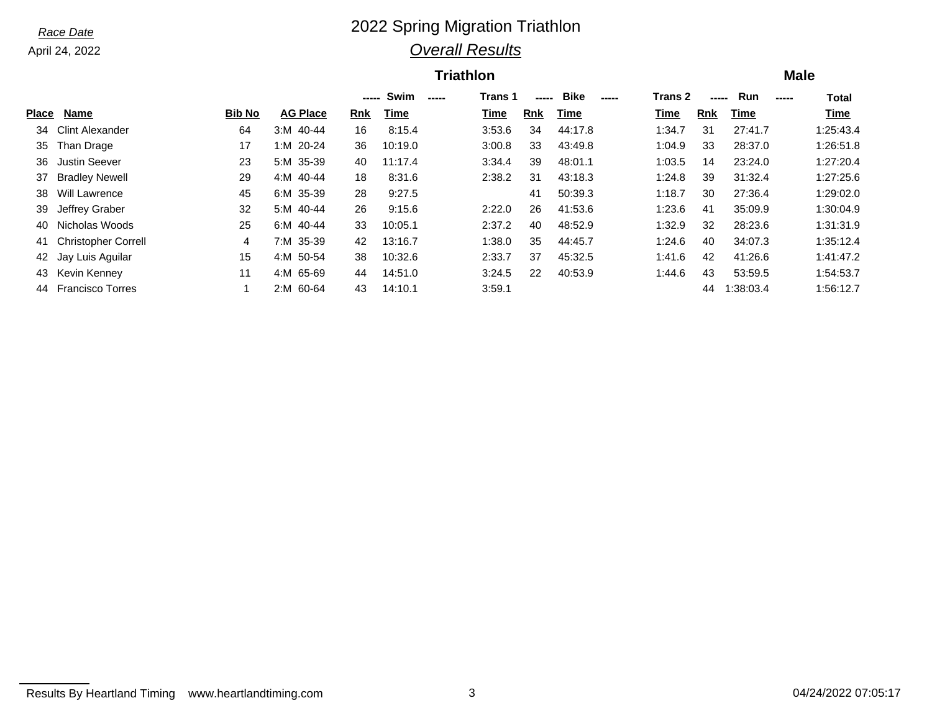## *Race Date* 2022 Spring Migration Triathlon *Overall Results*

### **Triathlon Male**

|              |                            |               |                 | -----      | Swim    | $\frac{1}{2}$ | Trans 1 | -----      | <b>Bike</b><br>----- | <b>Trans 2</b> | -----      | Run         | <b>Total</b><br>----- |
|--------------|----------------------------|---------------|-----------------|------------|---------|---------------|---------|------------|----------------------|----------------|------------|-------------|-----------------------|
| <b>Place</b> | Name                       | <b>Bib No</b> | <b>AG Place</b> | <b>Rnk</b> | Time    |               | Time    | <b>Rnk</b> | Time                 | Time           | <b>Rnk</b> | <b>Time</b> | Time                  |
| 34           | <b>Clint Alexander</b>     | 64            | $3:M$ 40-44     | 16         | 8:15.4  |               | 3:53.6  | 34         | 44:17.8              | 1:34.7         | -31        | 27:41.7     | 1:25:43.4             |
| 35           | Than Drage                 | 17            | 1:M 20-24       | 36         | 10:19.0 |               | 3:00.8  | 33         | 43:49.8              | 1:04.9         | 33         | 28:37.0     | 1:26:51.8             |
| 36           | <b>Justin Seever</b>       | 23            | 5:M 35-39       | 40         | 11:17.4 |               | 3:34.4  | 39         | 48:01.1              | 1:03.5         | 14         | 23:24.0     | 1:27:20.4             |
| 37           | <b>Bradley Newell</b>      | 29            | 40-44<br>4:M    | 18         | 8:31.6  |               | 2:38.2  | 31         | 43:18.3              | 1:24.8         | 39         | 31:32.4     | 1:27:25.6             |
| 38           | <b>Will Lawrence</b>       | 45            | 6:M 35-39       | 28         | 9:27.5  |               |         | 41         | 50:39.3              | 1:18.7         | 30         | 27:36.4     | 1:29:02.0             |
| 39           | Jeffrey Graber             | 32            | 5:M 40-44       | 26         | 9:15.6  |               | 2:22.0  | 26         | 41:53.6              | 1:23.6         | 41         | 35:09.9     | 1:30:04.9             |
| 40           | Nicholas Woods             | 25            | 6:M 40-44       | 33         | 10:05.1 |               | 2:37.2  | 40         | 48:52.9              | 1:32.9         | 32         | 28:23.6     | 1:31:31.9             |
| 41           | <b>Christopher Correll</b> | 4             | 7:M 35-39       | 42         | 13:16.7 |               | 1:38.0  | 35         | 44:45.7              | 1:24.6         | 40         | 34:07.3     | 1:35:12.4             |
|              | 42 Jay Luis Aguilar        | 15            | 4:M 50-54       | 38         | 10:32.6 |               | 2:33.7  | 37         | 45:32.5              | 1:41.6         | 42         | 41:26.6     | 1:41:47.2             |
| 43           | Kevin Kenney               | 11            | 4:M 65-69       | 44         | 14:51.0 |               | 3:24.5  | 22         | 40:53.9              | :44.6          | 43         | 53:59.5     | 1:54:53.7             |
| 44           | <b>Francisco Torres</b>    |               | 60-64<br>2: M   | 43         | 14:10.1 |               | 3:59.1  |            |                      |                | 44         | 1:38:03.4   | 1:56:12.7             |